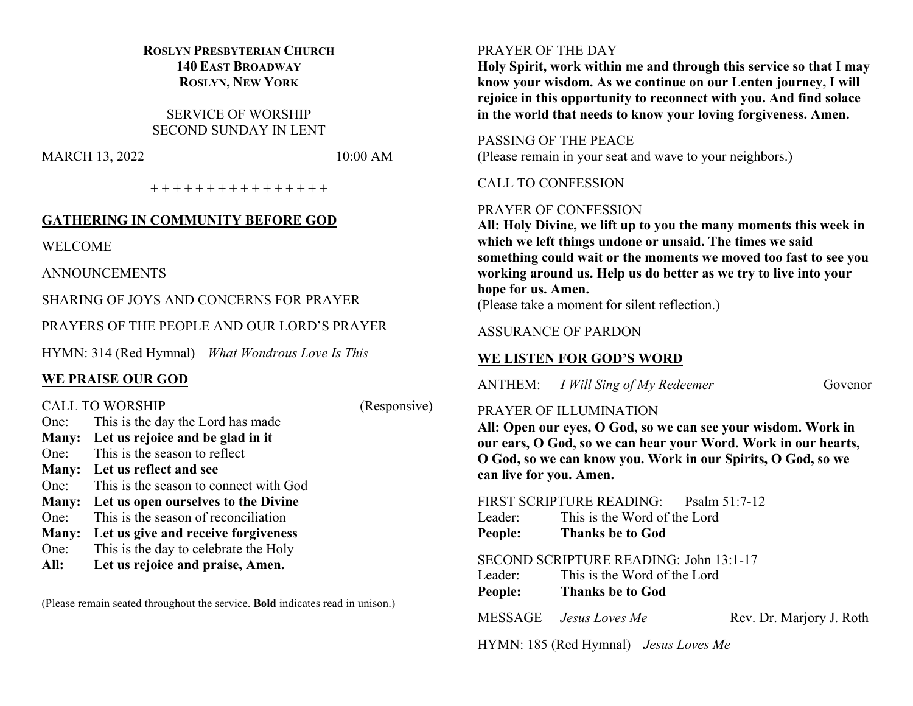## **ROSLYN PRESBYTERIAN CHURCH 140 EAST BROADWAY ROSLYN, NEW YORK**

SERVICE OF WORSHIP SECOND SUNDAY IN LENT

MARCH 13, 2022 10:00 AM

+ + + + + + + + + + + + + + + +

## **GATHERING IN COMMUNITY BEFORE GOD**

WELCOME

ANNOUNCEMENTS

SHARING OF JOYS AND CONCERNS FOR PRAYER

PRAYERS OF THE PEOPLE AND OUR LORD'S PRAYER

HYMN: 314 (Red Hymnal) *What Wondrous Love Is This*

## **WE PRAISE OUR GOD**

CALL TO WORSHIP (Responsive) One: This is the day the Lord has made **Many: Let us rejoice and be glad in it** One: This is the season to reflect **Many: Let us reflect and see** One: This is the season to connect with God **Many: Let us open ourselves to the Divine** One: This is the season of reconciliation **Many: Let us give and receive forgiveness** One: This is the day to celebrate the Holy **All: Let us rejoice and praise, Amen.**

(Please remain seated throughout the service. **Bold** indicates read in unison.)

### PRAYER OF THE DAY

**Holy Spirit, work within me and through this service so that I may know your wisdom. As we continue on our Lenten journey, I will rejoice in this opportunity to reconnect with you. And find solace in the world that needs to know your loving forgiveness. Amen.**

PASSING OF THE PEACE (Please remain in your seat and wave to your neighbors.)

## CALL TO CONFESSION

## PRAYER OF CONFESSION

**All: Holy Divine, we lift up to you the many moments this week in which we left things undone or unsaid. The times we said something could wait or the moments we moved too fast to see you working around us. Help us do better as we try to live into your hope for us. Amen.**

(Please take a moment for silent reflection.)

## ASSURANCE OF PARDON

## **WE LISTEN FOR GOD'S WORD**

ANTHEM: *I Will Sing of My Redeemer* Govenor

## PRAYER OF ILLUMINATION

**All: Open our eyes, O God, so we can see your wisdom. Work in our ears, O God, so we can hear your Word. Work in our hearts, O God, so we can know you. Work in our Spirits, O God, so we can live for you. Amen.**

## FIRST SCRIPTURE READING: Psalm 51:7-12

Leader: This is the Word of the Lord **People: Thanks be to God**

### SECOND SCRIPTURE READING: John 13:1-17

Leader: This is the Word of the Lord **People: Thanks be to God**

MESSAGE *Jesus Loves Me* Rev. Dr. Marjory J. Roth

HYMN: 185 (Red Hymnal) *Jesus Loves Me*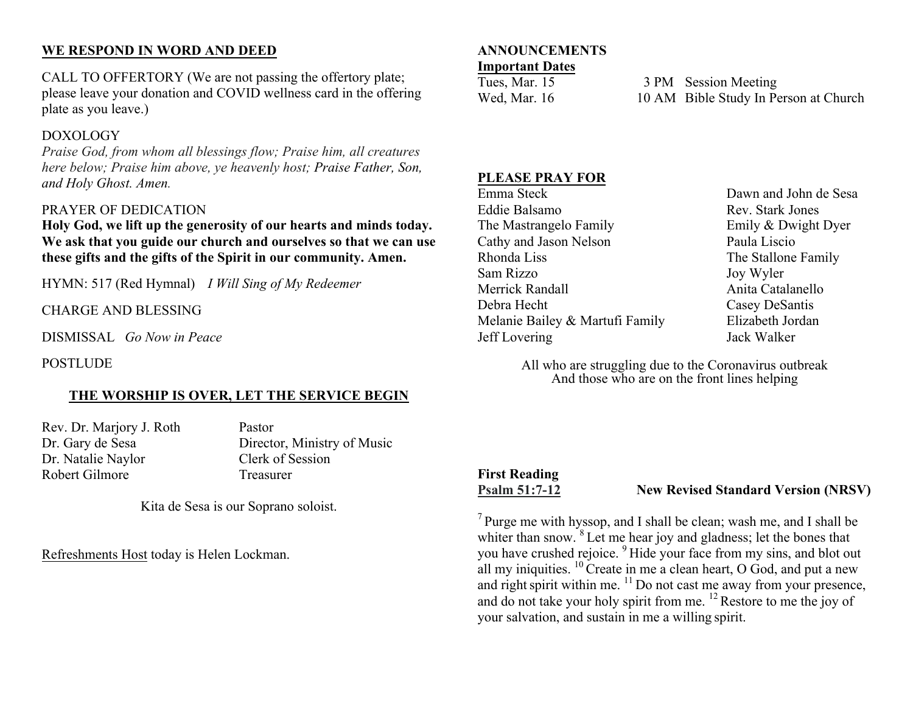## **WE RESPOND IN WORD AND DEED**

CALL TO OFFERTORY (We are not passing the offertory plate; please leave your donation and COVID wellness card in the offering plate as you leave.)

## DOXOLOGY

*Praise God, from whom all blessings flow; Praise him, all creatures here below; Praise him above, ye heavenly host; Praise Father, Son, and Holy Ghost. Amen.*

## PRAYER OF DEDICATION

**Holy God, we lift up the generosity of our hearts and minds today. We ask that you guide our church and ourselves so that we can use these gifts and the gifts of the Spirit in our community. Amen.**

HYMN: 517 (Red Hymnal) *I Will Sing of My Redeemer*

CHARGE AND BLESSING

DISMISSAL *Go Now in Peace*

POSTLUDE

## **THE WORSHIP IS OVER, LET THE SERVICE BEGIN**

Rev. Dr. Marjory J. Roth Pastor Dr. Natalie Naylor Clerk of Session Robert Gilmore Treasurer

Dr. Gary de Sesa Director, Ministry of Music

Kita de Sesa is our Soprano soloist.

Refreshments Host today is Helen Lockman.

#### **ANNOUNCEMENTS Important Dates**

Tues, Mar. 15 3 PM Session Meeting Wed, Mar. 16 10 AM Bible Study In Person at Church

## **PLEASE PRAY FOR**

Eddie Balsamo Rev. Stark Jones The Mastrangelo Family **Emily & Dwight Dyer** Cathy and Jason Nelson Paula Liscio Rhonda Liss The Stallone Family Sam Rizzo Joy Wyler Merrick Randall **Anita** Catalanello Debra Hecht Casey DeSantis Melanie Bailey & Martufi Family Elizabeth Jordan Jeff Lovering Jack Walker

Dawn and John de Sesa

All who are struggling due to the Coronavirus outbreak And those who are on the front lines helping

## **First Reading**

## **Psalm 51:7-12 New Revised Standard Version (NRSV)**

 $<sup>7</sup>$  Purge me with hyssop, and I shall be clean; wash me, and I shall be</sup> whiter than snow. <sup>8</sup> Let me hear joy and gladness; let the bones that you have crushed rejoice. <sup>9</sup> Hide your face from my sins, and blot out all my iniquities.  $^{10}$  Create in me a clean heart, O God, and put a new and right spirit within me.  $\frac{11}{10}$  Do not cast me away from your presence, and do not take your holy spirit from me. <sup>12</sup> Restore to me the joy of your salvation, and sustain in me a willing spirit.